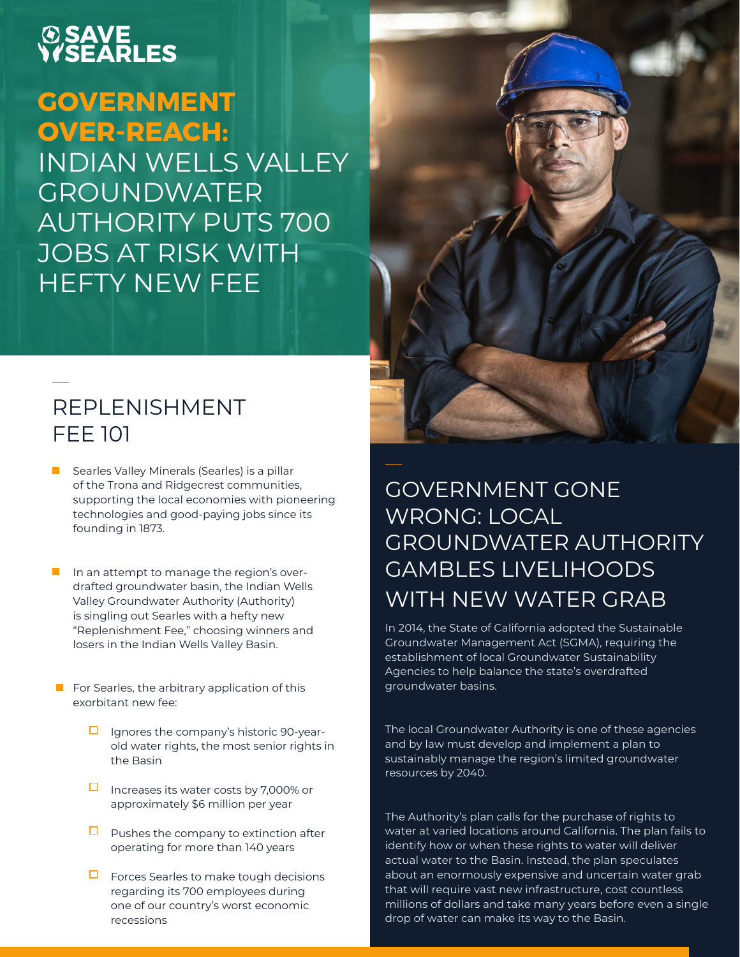#### **SEARLES SAVE**

# **GOVERNMENT OVER-REACH:**

INDIAN WELLS VALLEY **GROUNDWATER** AUTHORITY PUTS 700 JOBS AT RISK WITH HEFTY NEW FEE

### REPLENISHMENT FEE 101

- Searles Valley Minerals (Searles) is a pillar of the Trona and Ridgecrest communities, supporting the local economies with pioneering technologies and good-paying jobs since its founding in 1873.
- In an attempt to manage the region's overdrafted groundwater basin, the Indian Wells Valley Groundwater Authority (Authority) is singling out Searles with a hefty new "Replenishment Fee," choosing winners and losers in the Indian Wells Valley Basin.
- $\blacksquare$  For Searles, the arbitrary application of this exorbitant new fee:
	- $\Box$  Ignores the company's historic 90-yearold water rights, the most senior rights in the Basin
	- $\Box$  Increases its water costs by 7,000% or approximately \$6 million per year
	- $\Box$  Pushes the company to extinction after operating for more than 140 years
	- $\Box$  Forces Searles to make tough decisions regarding its 700 employees during one of our country's worst economic recessions

### GOVERNMENT GONE WRONG: LOCAL GROUNDWATER AUTHORITY GAMBLES LIVELIHOODS WITH NEW WATER GRAB

In 2014, the State of California adopted the Sustainable Groundwater Management Act (SGMA), requiring the establishment of local Groundwater Sustainability Agencies to help balance the state's overdrafted groundwater basins.

The local Groundwater Authority is one of these agencies and by law must develop and implement a plan to sustainably manage the region's limited groundwater resources by 2040.

The Authority's plan calls for the purchase of rights to water at varied locations around California. The plan fails to identify how or when these rights to water will deliver actual water to the Basin. Instead, the plan speculates about an enormously expensive and uncertain water grab that will require vast new infrastructure, cost countless millions of dollars and take many years before even a single drop of water can make its way to the Basin.